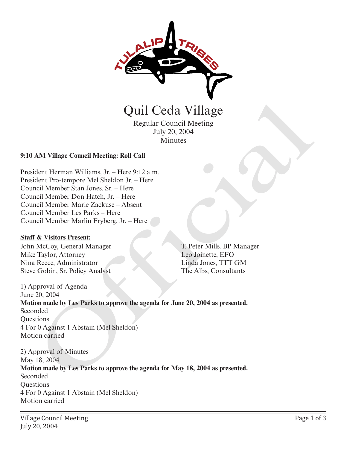

Regular Council Meeting July 20, 2004 Minutes

### **9:10 AM Village Council Meeting: Roll Call**

President Herman Williams, Jr. – Here 9:12 a.m. President Pro-tempore Mel Sheldon Jr. – Here Council Member Stan Jones, Sr. – Here Council Member Don Hatch, Jr. – Here Council Member Marie Zackuse – Absent Council Member Les Parks – Here Council Member Marlin Fryberg, Jr. – Here

#### **Staff & Visitors Present:**

John McCoy, General Manager Mike Taylor, Attorney Nina Reece, Administrator Steve Gobin, Sr. Policy Analyst

T. Peter Mills. BP Manager Leo Joinette, EFO Linda Jones, TTT GM The Albs, Consultants

1) Approval of Agenda June 20, 2004 **Motion made by Les Parks to approve the agenda for June 20, 2004 as presented.** Seconded **Ouestions** 4 For 0 Against 1 Abstain (Mel Sheldon) Motion carried Quil Ceda Village<br>
Regular Council Meeting<br>
Iuly 20, 2004<br>
Minutes<br>
Iuly 20, 2004<br>
Minutes<br>
Start Pro-tempore Mel Sheldon *Ir.* – Here<br>
inclus Member Start ones, Sr. – Here<br>
inclus Member Start Start Cackins – Absent<br>
in M

2) Approval of Minutes May 18, 2004 **Motion made by Les Parks to approve the agenda for May 18, 2004 as presented.** Seconded **Ouestions** 4 For 0 Against 1 Abstain (Mel Sheldon) Motion carried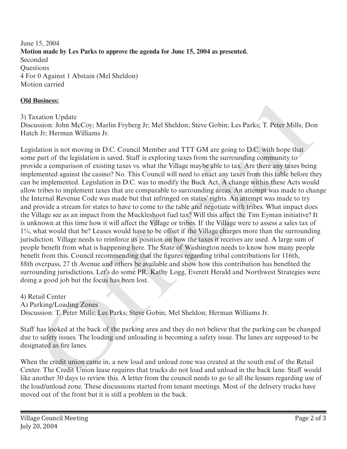June 15, 2004 **Motion made by Les Parks to approve the agenda for June 15, 2004 as presented.** Seconded **Ouestions** 4 For 0 Against 1 Abstain (Mel Sheldon) Motion carried

### **Old Business:**

3) Taxation Update

Discussion: John McCoy; Marlin Fryberg Jr; Mel Sheldon; Steve Gobin; Les Parks; T. Peter Mills; Don Hatch Jr; Herman Williams Jr.

Legislation is not moving in D.C. Council Member and TTT GM are going to D.C. with hope that some part of the legislation is saved. Staff is exploring taxes from the surrounding community to provide a comparison of existing taxes vs. what the Village maybe able to tax. Are there any taxes being implemented against the casino? No. This Council will need to enact any taxes from this table before they can be implemented. Legislation in D.C. was to modify the Buck Act. A change within these Acts would allow tribes to implement taxes that are comparable to surrounding areas. An attempt was made to change the Internal Revenue Code was made but that infringed on states' rights. An attempt was made to try and provide a stream for states to have to come to the table and negotiate with tribes. What impact does the Village see as an impact from the Muckleshoot fuel tax? Will this affect the Tim Eyman initiative? It is unknown at this time how it will affect the Village or tribes. If the Village were to assess a sales tax of 1%, what would that be? Leases would have to be offset if the Village charges more than the surrounding jurisdiction. Village needs to reinforce its position on how the taxes it receives are used. A large sum of people benefit from what is happening here. The State of Washington needs to know how many people benefit from this. Council recommending that the figures regarding tribal contributions for 116th, 88th overpass, 27 th Avenue and others be available and show how this contribution has benefited the surrounding jurisdictions. Let's do some PR. Kathy Logg, Everett Herald and Northwest Strategies were doing a good job but the focus has been lost. **Easings:**<br>
Taximos Lybath Eryberg Jr. Mel Sheldon; Sleve Gobin; Les Parks; T. Peter Mills; Do<br>
ausion: John McCoy; Marlin Fryberg Jr. Mel Sheldon; Sleve Gobin; Les Parks; T. Peter Mills; Do<br>
h.Jr; Herman Williams Jr.<br>
hat

4) Retail Center A) Parking/Loading Zones

Discussion: T. Peter Mills; Les Parks; Steve Gobin; Mel Sheldon; Herman Williams Jr.

Staff has looked at the back of the parking area and they do not believe that the parking can be changed due to safety issues. The loading and unloading is becoming a safety issue. The lanes are supposed to be designated as fire lanes.

When the credit union came in, a new load and unload zone was created at the south end of the Retail Center. The Credit Union lease requires that trucks do not load and unload in the back lane. Staff would like another 30 days to review this. A letter from the council needs to go to all the lessees regarding use of the load/unload zone. These discussions started from tenant meetings. Most of the delivery trucks have moved out of the front but it is still a problem in the back.